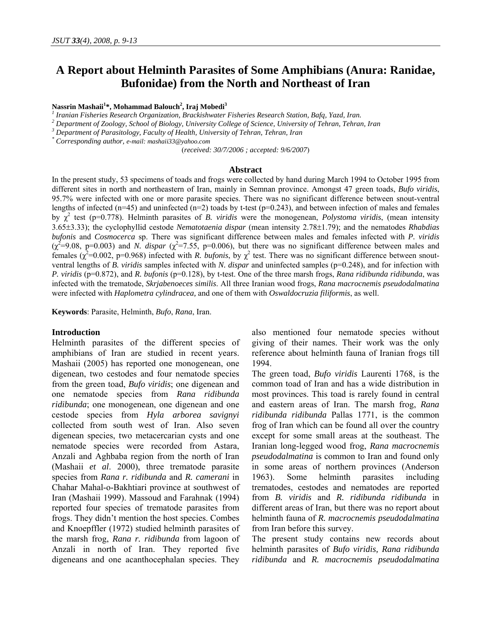# **A Report about Helminth Parasites of Some Amphibians (Anura: Ranidae, Bufonidae) from the North and Northeast of Iran**

#### **Nassrin Mashaii1 \*, Mohammad Balouch2 , Iraj Mobedi<sup>3</sup>**

*1 Iranian Fisheries Research Organization, Brackishwater Fisheries Research Station, Bafq, Yazd, Iran. 2*

 *Department of Zoology, School of Biology, University College of Science, University of Tehran, Tehran, Iran* 

*3 Department of Parasitology, Faculty of Health, University of Tehran, Tehran, Iran*

*\* Corresponding author, e-mail: mashaii33@yahoo.com* 

(*received: 30/7/2006 ; accepted: 9/6/2007*)

#### **Abstract**

In the present study, 53 specimens of toads and frogs were collected by hand during March 1994 to October 1995 from different sites in north and northeastern of Iran, mainly in Semnan province. Amongst 47 green toads, *Bufo viridis*, 95.7% were infected with one or more parasite species. There was no significant difference between snout-ventral lengths of infected (n=45) and uninfected (n=2) toads by t-test ( $p=0.243$ ), and between infection of males and females by  $\chi^2$  test (p=0.778). Helminth parasites of *B. viridis* were the monogenean, *Polystoma viridis*, (mean intensity 3.65±3.33); the cyclophyllid cestode *Nematotaenia dispar* (mean intensity 2.78±1.79); and the nematodes *Rhabdias bufonis* and *Cosmocerca* sp. There was significant difference between males and females infected with *P. viridis*   $(\chi^2=9.08, p=0.003)$  and *N. dispar*  $(\chi^2=7.55, p=0.006)$ , but there was no significant difference between males and females ( $\chi^2$ =0.002, p=0.968) infected with *R. bufonis*, by  $\chi^2$  test. There was no significant difference between snoutventral lengths of *B. viridis* samples infected with *N. dispar* and uninfected samples (p=0.248), and for infection with *P. viridis* (p=0.872), and *R. bufonis* (p=0.128), by t-test. One of the three marsh frogs, *Rana ridibunda ridibunda*, was infected with the trematode, *Skrjabenoeces similis*. All three Iranian wood frogs, *Rana macrocnemis pseudodalmatina* were infected with *Haplometra cylindracea,* and one of them with *Oswaldocruzia filiformis*, as well.

**Keywords**: Parasite, Helminth, *Bufo*, *Rana*, Iran.

## **Introduction**

Helminth parasites of the different species of amphibians of Iran are studied in recent years. Mashaii (2005) has reported one monogenean, one digenean, two cestodes and four nematode species from the green toad, *Bufo viridis*; one digenean and one nematode species from *Rana ridibunda ridibunda*; one monogenean, one digenean and one cestode species from *Hyla arborea savignyi* collected from south west of Iran. Also seven digenean species, two metacercarian cysts and one nematode species were recorded from Astara, Anzali and Aghbaba region from the north of Iran (Mashaii *et al*. 2000), three trematode parasite species from *Rana r. ridibunda* and *R. camerani* in Chahar Mahal-o-Bakhtiari province at southwest of Iran (Mashaii 1999). Massoud and Farahnak (1994) reported four species of trematode parasites from frogs. They didn't mention the host species. Combes and Knoepffler (1972) studied helminth parasites of the marsh frog, *Rana r. ridibunda* from lagoon of Anzali in north of Iran. They reported five digeneans and one acanthocephalan species. They also mentioned four nematode species without giving of their names. Their work was the only reference about helminth fauna of Iranian frogs till 1994.

The green toad, *Bufo viridis* Laurenti 1768, is the common toad of Iran and has a wide distribution in most provinces. This toad is rarely found in central and eastern areas of Iran. The marsh frog, *Rana ridibunda ridibunda* Pallas 1771, is the common frog of Iran which can be found all over the country except for some small areas at the southeast. The Iranian long-legged wood frog, *Rana macrocnemis pseudodalmatina* is common to Iran and found only in some areas of northern provinces (Anderson 1963). Some helminth parasites including trematodes, cestodes and nematodes are reported from *B. viridis* and *R. ridibunda ridibunda* in different areas of Iran, but there was no report about helminth fauna of *R. macrocnemis pseudodalmatina* from Iran before this survey.

The present study contains new records about helminth parasites of *Bufo viridis, Rana ridibunda ridibunda* and *R. macrocnemis pseudodalmatina*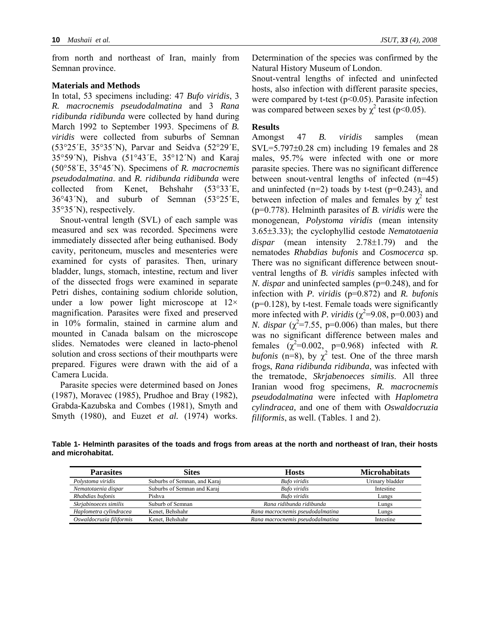from north and northeast of Iran, mainly from Semnan province.

### **Materials and Methods**

In total, 53 specimens including: 47 *Bufo viridis*, 3 *R. macrocnemis pseudodalmatina* and 3 *Rana ridibunda ridibunda* were collected by hand during March 1992 to September 1993. Specimens of *B. viridis* were collected from suburbs of Semnan (53°25´E, 35°35´N), Parvar and Seidva (52°29´E, 35°59´N), Pishva (51°43´E, 35°12´N) and Karaj (50°58´E, 35°45´N). Specimens of *R. macrocnemis pseudodalmatina*. and *R. ridibunda ridibunda* were collected from Kenet, Behshahr (53°33´E, 36°43´N), and suburb of Semnan (53°25´E, 35°35´N), respectively.

Snout-ventral length (SVL) of each sample was measured and sex was recorded. Specimens were immediately dissected after being euthanised. Body cavity, peritoneum, muscles and mesenteries were examined for cysts of parasites. Then, urinary bladder, lungs, stomach, intestine, rectum and liver of the dissected frogs were examined in separate Petri dishes, containing sodium chloride solution, under a low power light microscope at  $12\times$ magnification. Parasites were fixed and preserved in 10% formalin, stained in carmine alum and mounted in Canada balsam on the microscope slides. Nematodes were cleaned in lacto-phenol solution and cross sections of their mouthparts were prepared. Figures were drawn with the aid of a Camera Lucida.

Parasite species were determined based on Jones (1987), Moravec (1985), Prudhoe and Bray (1982), Grabda-Kazubska and Combes (1981), Smyth and Smyth (1980), and Euzet *et al.* (1974) works. Determination of the species was confirmed by the Natural History Museum of London.

Snout-ventral lengths of infected and uninfected hosts, also infection with different parasite species, were compared by t-test  $(p<0.05)$ . Parasite infection was compared between sexes by  $\chi^2$  test (p<0.05).

## **Results**

Amongst 47 *B. viridis* samples (mean SVL=5.797±0.28 cm) including 19 females and 28 males, 95.7% were infected with one or more parasite species. There was no significant difference between snout-ventral lengths of infected (n=45) and uninfected  $(n=2)$  toads by t-test  $(p=0.243)$ , and between infection of males and females by  $\chi^2$  test (p=0.778). Helminth parasites of *B. viridis* were the monogenean, *Polystoma viridis* (mean intensity 3.65±3.33); the cyclophyllid cestode *Nematotaenia dispar* (mean intensity 2.78±1.79) and the nematodes *Rhabdias bufonis* and *Cosmocerca* sp. There was no significant difference between snoutventral lengths of *B. viridis* samples infected with *N. dispar* and uninfected samples (p=0.248), and for infection with *P. viridis* (p=0.872) and *R. bufonis*  $(p=0.128)$ , by t-test. Female toads were significantly more infected with *P. viridis* ( $\chi^2$ =9.08, p=0.003) and *N. dispar*  $(\chi^2 = 7.55, p=0.006)$  than males, but there was no significant difference between males and females  $(\chi^2=0.002, p=0.968)$  infected with *R*. *bufonis* (n=8), by  $\chi^2$  test. One of the three marsh frogs, *Rana ridibunda ridibunda*, was infected with the trematode, *Skrjabenoeces similis*. All three Iranian wood frog specimens, *R. macrocnemis pseudodalmatina* were infected with *Haplometra cylindracea,* and one of them with *Oswaldocruzia filiformis*, as well. (Tables. 1 and 2).

**Table 1- Helminth parasites of the toads and frogs from areas at the north and northeast of Iran, their hosts and microhabitat.** 

| <b>Parasites</b>         | Sites                        | <b>Hosts</b>                     | <b>Microhabitats</b> |
|--------------------------|------------------------------|----------------------------------|----------------------|
| Polystoma viridis        | Suburbs of Semnan, and Karaj | <b>Bufo</b> viridis              | Urinary bladder      |
| Nematotaenia dispar      | Suburbs of Semnan and Karaj  | <b>Bufo</b> viridis              | Intestine            |
| Rhabdias bufonis         | Pishya                       | <b>Bufo</b> viridis              | Lungs                |
| Skrjabinoeces similis    | Suburb of Semnan             | Rana ridibunda ridibunda         | Lungs                |
| Haplometra cylindracea   | Kenet, Behshahr              | Rana macrocnemis pseudodalmatina | Lungs                |
| Oswaldocruzia filiformis | Kenet, Behshahr              | Rana macrocnemis pseudodalmatina | Intestine            |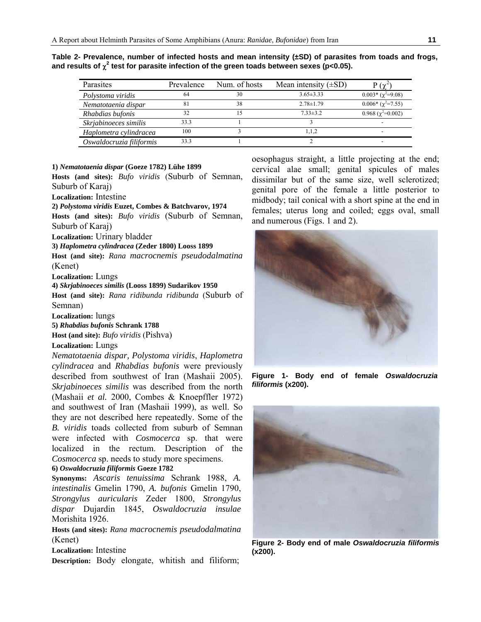| Parasites                | Prevalence | Num. of hosts | Mean intensity $(\pm SD)$ | $P(\gamma^2)$              |
|--------------------------|------------|---------------|---------------------------|----------------------------|
| Polystoma viridis        | 64         | 30            | $3.65 \pm 3.33$           | $0.003*(\gamma^2=9.08)$    |
| Nematotaenia dispar      | 81         | 38            | $2.78 \pm 1.79$           | $0.006*(\gamma^2=7.55)$    |
| Rhabdias bufonis         | 32         | 15            | $7.33 \pm 3.2$            | $0.968 (\gamma^2 = 0.002)$ |
| Skrjabinoeces similis    | 33.3       |               |                           | $\overline{\phantom{a}}$   |
| Haplometra cylindracea   | 100        |               | 1.1.2                     | -                          |
| Oswaldocruzia filiformis | 33.3       |               |                           | -                          |

**Table 2- Prevalence, number of infected hosts and mean intensity (±SD) of parasites from toads and frogs,**  and results of  $\chi^2$  test for parasite infection of the green toads between sexes (p<0.05).

#### **1)** *Nematotaenia dispar* **(Goeze 1782) Lühe 1899**

**Hosts (and sites):** *Bufo viridis* (Suburb of Semnan, Suburb of Karaj)

**Localization:** Intestine

**2)** *Polystoma viridis* **Euzet, Combes & Batchvarov, 1974** 

**Hosts (and sites):** *Bufo viridis* (Suburb of Semnan, Suburb of Karaj)

**Localization:** Urinary bladder

**3)** *Haplometra cylindracea* **(Zeder 1800) Looss 1899**

**Host (and site):** *Rana macrocnemis pseudodalmatina* (Kenet)

**Localization:** Lungs

**4)** *Skrjabinoeces similis* **(Looss 1899) Sudarikov 1950** 

**Host (and site):** *Rana ridibunda ridibunda* (Suburb of Semnan)

**Localization:** lungs

**5)** *Rhabdias bufonis* **Schrank 1788**

**Host (and site):** *Bufo viridis* (Pishva)

#### **Localization:** Lungs

*Nematotaenia dispar, Polystoma viridis*, *Haplometra cylindracea* and *Rhabdias bufonis* were previously described from southwest of Iran (Mashaii 2005). *Skrjabinoeces similis* was described from the north (Mashaii *et al.* 2000, Combes & Knoepffler 1972) and southwest of Iran (Mashaii 1999), as well. So they are not described here repeatedly. Some of the *B. viridis* toads collected from suburb of Semnan were infected with *Cosmocerca* sp. that were localized in the rectum. Description of the *Cosmocerca* sp. needs to study more specimens.

**6)** *Oswaldocruzia filiformis* **Goeze 1782** 

**Synonyms:** *Ascaris tenuissima* Schrank 1988, *A. intestinalis* Gmelin 1790, *A. bufonis* Gmelin 1790, *Strongylus auricularis* Zeder 1800, *Strongylus dispar* Dujardin 1845, *Oswaldocruzia insulae* Morishita 1926.

**Hosts (and sites):** *Rana macrocnemis pseudodalmatina* (Kenet)

**Localization:** Intestine

**Description:** Body elongate, whitish and filiform;

oesophagus straight, a little projecting at the end; cervical alae small; genital spicules of males dissimilar but of the same size, well sclerotized; genital pore of the female a little posterior to midbody; tail conical with a short spine at the end in females; uterus long and coiled; eggs oval, small and numerous (Figs. 1 and 2).



**Figure 1- Body end of female** *Oswaldocruzia filiformis* **(x200).** 



**Figure 2- Body end of male** *Oswaldocruzia filiformis* **(x200).**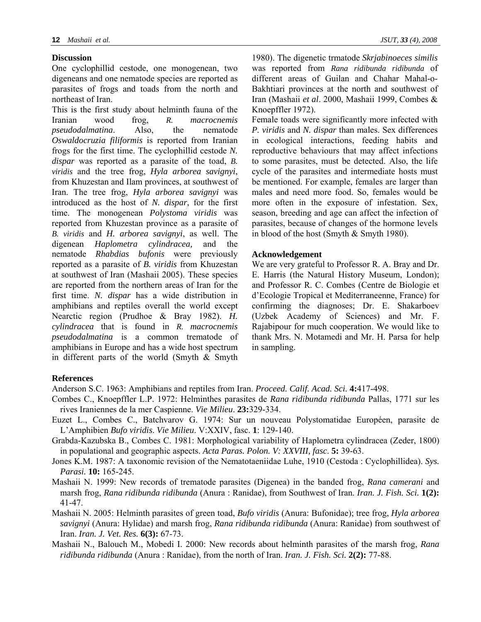# **Discussion**

One cyclophillid cestode, one monogenean, two digeneans and one nematode species are reported as parasites of frogs and toads from the north and northeast of Iran.

This is the first study about helminth fauna of the Iranian wood frog, *R. macrocnemis pseudodalmatina*. Also, the nematode *Oswaldocruzia filiformis* is reported from Iranian frogs for the first time. The cyclophillid cestode *N. dispar* was reported as a parasite of the toad, *B. viridis* and the tree frog, *Hyla arborea savignyi*, from Khuzestan and Ilam provinces, at southwest of Iran. The tree frog, *Hyla arborea savignyi* was introduced as the host of *N. dispar*, for the first time. The monogenean *Polystoma viridis* was reported from Khuzestan province as a parasite of *B. viridis* and *H. arborea savignyi*, as well. The digenean *Haplometra cylindracea,* and the nematode *Rhabdias bufonis* were previously reported as a parasite of *B. viridis* from Khuzestan at southwest of Iran (Mashaii 2005). These species are reported from the northern areas of Iran for the first time. *N. dispar* has a wide distribution in amphibians and reptiles overall the world except Nearctic region (Prudhoe & Bray 1982). *H. cylindracea* that is found in *R. macrocnemis pseudodalmatina* is a common trematode of amphibians in Europe and has a wide host spectrum in different parts of the world (Smyth  $\&$  Smyth

1980). The digenetic trmatode *Skrjabinoeces similis* was reported from *Rana ridibunda ridibunda* of different areas of Guilan and Chahar Mahal-o-Bakhtiari provinces at the north and southwest of Iran (Mashaii *et al*. 2000, Mashaii 1999, Combes & Knoepffler 1972).

Female toads were significantly more infected with *P. viridis* and *N. dispar* than males. Sex differences in ecological interactions, feeding habits and reproductive behaviours that may affect infections to some parasites, must be detected. Also, the life cycle of the parasites and intermediate hosts must be mentioned. For example, females are larger than males and need more food. So, females would be more often in the exposure of infestation. Sex, season, breeding and age can affect the infection of parasites, because of changes of the hormone levels in blood of the host (Smyth & Smyth 1980).

# **Acknowledgement**

We are very grateful to Professor R. A. Bray and Dr. E. Harris (the Natural History Museum, London); and Professor R. C. Combes (Centre de Biologie et d'Ecologie Tropical et Mediterraneenne, France) for confirming the diagnoses; Dr. E. Shakarboev (Uzbek Academy of Sciences) and Mr. F. Rajabipour for much cooperation. We would like to thank Mrs. N. Motamedi and Mr. H. Parsa for help in sampling.

# **References**

Anderson S.C. 1963: Amphibians and reptiles from Iran. *Proceed. Calif. Acad. Sci.* **4:**417-498.

- Combes C., Knoepffler L.P. 1972: Helminthes parasites de *Rana ridibunda ridibunda* Pallas, 1771 sur les rives Iraniennes de la mer Caspienne. *Vie Milieu*. **23:**329-334.
- Euzet L., Combes C., Batchvarov G. 1974: Sur un nouveau Polystomatidae Européen, parasite de L'Amphibien *Bufo viridis*. *Vie Milieu*. V:XXIV, fasc. **1**: 129-140.
- Grabda-Kazubska B., Combes C. 1981: Morphological variability of Haplometra cylindracea (Zeder, 1800) in populational and geographic aspects. *Acta Paras. Polon. V: XXVIII, fasc*. **5:** 39-63.
- Jones K.M. 1987: A taxonomic revision of the Nematotaeniidae Luhe, 1910 (Cestoda : Cyclophillidea). *Sys. Parasi.* **10:** 165-245.
- Mashaii N. 1999: New records of trematode parasites (Digenea) in the banded frog, *Rana camerani* and marsh frog, *Rana ridibunda ridibunda* (Anura : Ranidae), from Southwest of Iran. *Iran. J. Fish. Sci.* **1(2):** 41-47.
- Mashaii N. 2005: Helminth parasites of green toad, *Bufo viridis* (Anura: Bufonidae); tree frog, *Hyla arborea savignyi* (Anura: Hylidae) and marsh frog, *Rana ridibunda ridibunda* (Anura: Ranidae) from southwest of Iran. *Iran. J. Vet. Res.* **6(3):** 67-73.
- Mashaii N., Balouch M., Mobedi I. 2000: New records about helminth parasites of the marsh frog, *Rana ridibunda ridibunda* (Anura : Ranidae), from the north of Iran. *Iran. J. Fish. Sci.* **2(2):** 77-88.